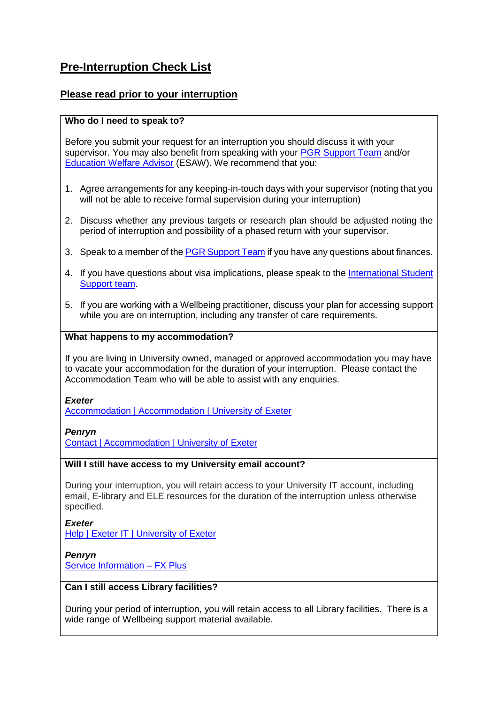# **Pre-Interruption Check List**

## **Please read prior to your interruption**

## **Who do I need to speak to?**

Before you submit your request for an interruption you should discuss it with your supervisor. You may also benefit from speaking with your [PGR Support Team](https://www.exeter.ac.uk/doctoralcollege/aboutus/people/) and/or [Education Welfare Advisor](https://www.exeter.ac.uk/doctoralcollege/support/pgrsupport/wellbeing/#a0) (ESAW). We recommend that you:

- 1. Agree arrangements for any keeping-in-touch days with your supervisor (noting that you will not be able to receive formal supervision during your interruption)
- 2. Discuss whether any previous targets or research plan should be adjusted noting the period of interruption and possibility of a phased return with your supervisor.
- 3. Speak to a member of th[e PGR Support Team](https://www.exeter.ac.uk/doctoralcollege/aboutus/people/) if you have any questions about finances.
- 4. If you have questions about visa implications, please speak to the [International Student](https://www.exeter.ac.uk/students/international/) [Support team.](https://www.exeter.ac.uk/students/international/)
- 5. If you are working with a Wellbeing practitioner, discuss your plan for accessing support while you are on interruption, including any transfer of care requirements.

## **What happens to my accommodation?**

If you are living in University owned, managed or approved accommodation you may have to vacate your accommodation for the duration of your interruption. Please contact the Accommodation Team who will be able to assist with any enquiries.

*Exeter*

[Accommodation | Accommodation | University of Exeter](https://www.exeter.ac.uk/accommodation/)

*Penryn* [Contact | Accommodation | University of Exeter](https://www.exeter.ac.uk/accommodation/cornwallcampuses/contact/)

## **Will I still have access to my University email account?**

During your interruption, you will retain access to your University IT account, including email, E-library and ELE resources for the duration of the interruption unless otherwise specified.

*Exeter* [Help | Exeter IT | University of Exeter](https://www.exeter.ac.uk/it/help/)

*Penryn* [Service Information –](https://fxplus.ac.uk/it-services/service-information/) FX Plus

### **Can I still access Library facilities?**

During your period of interruption, you will retain access to all Library facilities. There is a wide range of Wellbeing support material available.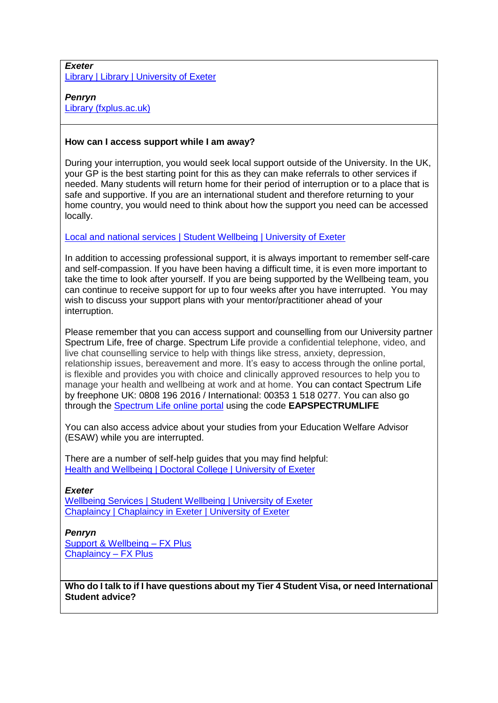#### *Exeter* [Library | Library | University of Exeter](https://www.exeter.ac.uk/library/)

## *Penryn*

[Library \(fxplus.ac.uk\)](https://library.fxplus.ac.uk/?_ga=2.192024170.1347661869.1624516911-941204757.1618911703)

## **How can I access support while I am away?**

During your interruption, you would seek local support outside of the University. In the UK, your GP is the best starting point for this as they can make referrals to other services if needed. Many students will return home for their period of interruption or to a place that is safe and supportive. If you are an international student and therefore returning to your home country, you would need to think about how the support you need can be accessed locally.

## [Local and national services | Student Wellbeing | University of Exeter](https://www.exeter.ac.uk/students/wellbeing/support/localandnationalservices/)

In addition to accessing professional support, it is always important to remember self-care and self-compassion. If you have been having a difficult time, it is even more important to take the time to look after yourself. If you are being supported by the Wellbeing team, you can continue to receive support for up to four weeks after you have interrupted. You may wish to discuss your support plans with your mentor/practitioner ahead of your interruption.

Please remember that you can access support and counselling from our University partner Spectrum Life, free of charge. Spectrum Life provide a confidential telephone, video, and live chat counselling service to help with things like stress, anxiety, depression, relationship issues, bereavement and more. It's easy to access through the online portal, is flexible and provides you with choice and clinically approved resources to help you to manage your health and wellbeing at work and at home. You can contact Spectrum Life by freephone UK: 0808 196 2016 / International: 00353 1 518 0277. You can also go through the [Spectrum Life online portal](https://eur03.safelinks.protection.outlook.com/?url=https%3A%2F%2Feap.spectrum.life%2F&data=04%7C01%7CC.Baker%40exeter.ac.uk%7C421952513d284232f62508d92b202229%7C912a5d77fb984eeeaf321334d8f04a53%7C0%7C0%7C637588239273160558%7CUnknown%7CTWFpbGZsb3d8eyJWIjoiMC4wLjAwMDAiLCJQIjoiV2luMzIiLCJBTiI6Ik1haWwiLCJXVCI6Mn0%3D%7C1000&sdata=xWIiGDjL32m63ya7xDhxxPLMMEwA1Is5urdzFtNPXdc%3D&reserved=0) using the code **EAPSPECTRUMLIFE**

You can also access advice about your studies from your Education Welfare Advisor (ESAW) while you are interrupted.

There are a number of self-help guides that you may find helpful: [Health and Wellbeing | Doctoral College | University of Exeter](https://www.exeter.ac.uk/doctoralcollege/support/pgrsupport/wellbeing/#a2)

### *Exeter*

[Wellbeing Services | Student Wellbeing | University of Exeter](https://www.exeter.ac.uk/students/wellbeing/) [Chaplaincy | Chaplaincy in Exeter | University of Exeter](https://www.exeter.ac.uk/chaplaincy/)

*Penryn* [Support & Wellbeing –](https://fxplus.ac.uk/student-support/support-wellbeing) FX Plus [Chaplaincy –](https://fxplus.ac.uk/student-support/chaplaincy/) FX Plus

**Who do I talk to if I have questions about my Tier 4 Student Visa, or need International Student advice?**